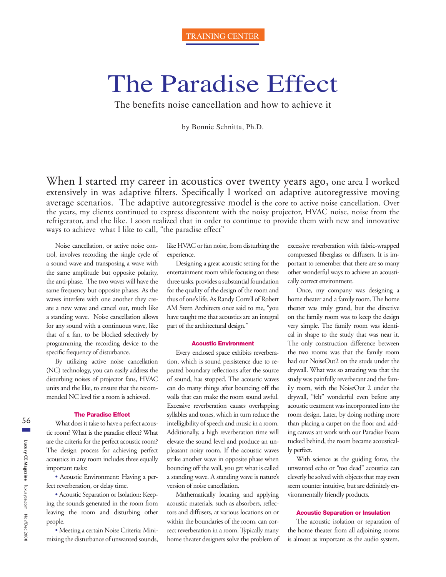# The Paradise Effect

The benefits noise cancellation and how to achieve it

by Bonnie Schnitta, Ph.D.

When I started my career in acoustics over twenty years ago, one area I worked extensively in was adaptive filters. Specifically I worked on adaptive autoregressive moving average scenarios. The adaptive autoregressive model is the core to active noise cancellation. Over the years, my clients continued to express discontent with the noisy projector, HVAC noise, noise from the refrigerator, and the like. I soon realized that in order to continue to provide them with new and innovative ways to achieve what I like to call, "the paradise effect"

Noise cancellation, or active noise control, involves recording the single cycle of a sound wave and transposing a wave with the same amplitude but opposite polarity, the anti-phase. The two waves will have the same frequency but opposite phases. As the waves interfere with one another they create a new wave and cancel out, much like a standing wave. Noise cancellation allows for any sound with a continuous wave, like that of a fan, to be blocked selectively by programming the recording device to the specific frequency of disturbance.

By utilizing active noise cancellation (NC) technology, you can easily address the disturbing noises of projector fans, HVAC units and the like, to ensure that the recommended NC level for a room is achieved.

# **The Paradise Effect**

What does it take to have a perfect acoustic room? What is the paradise effect? What are the criteria for the perfect acoustic room? The design process for achieving perfect acoustics in any room includes three equally important tasks:

s Acoustic Environment: Having a perfect reverberation, or delay time.

s Acoustic Separation or Isolation: Keeping the sounds generated in the room from leaving the room and disturbing other people.

s Meeting a certain Noise Criteria: Minimizing the disturbance of unwanted sounds, like HVAC or fan noise, from disturbing the experience.

Designing a great acoustic setting for the entertainment room while focusing on these three tasks, provides a substantial foundation for the quality of the design of the room and thus of one's life. As Randy Correll of Robert AM Stern Architects once said to me, "you have taught me that acoustics are an integral part of the architectural design."

# **Acoustic Environment**

Every enclosed space exhibits reverberation, which is sound persistence due to repeated boundary reflections after the source of sound, has stopped. The acoustic waves can do many things after bouncing off the walls that can make the room sound awful. Excessive reverberation causes overlapping syllables and tones, which in turn reduce the intelligibility of speech and music in a room. Additionally, a high reverberation time will elevate the sound level and produce an unpleasant noisy room. If the acoustic waves strike another wave in opposite phase when bouncing off the wall, you get what is called a standing wave. A standing wave is nature's version of noise cancellation.

Mathematically locating and applying acoustic materials, such as absorbers, reflectors and diffusers, at various locations on or within the boundaries of the room, can correct reverberation in a room. Typically many home theater designers solve the problem of excessive reverberation with fabric-wrapped compressed fiberglass or diffusers. It is important to remember that there are so many other wonderful ways to achieve an acoustically correct environment.

Once, my company was designing a home theater and a family room. The home theater was truly grand, but the directive on the family room was to keep the design very simple. The family room was identical in shape to the study that was near it. The only construction difference between the two rooms was that the family room had our NoiseOut2 on the studs under the drywall. What was so amazing was that the study was painfully reverberant and the family room, with the NoiseOut 2 under the drywall, "felt" wonderful even before any acoustic treatment was incorporated into the room design. Later, by doing nothing more than placing a carpet on the floor and adding canvas art work with our Paradise Foam tucked behind, the room became acoustically perfect.

With science as the guiding force, the unwanted echo or "too dead" acoustics can cleverly be solved with objects that may even seem counter intuitive, but are definitely environmentally friendly products.

# **Acoustic Separation or Insulation**

The acoustic isolation or separation of the home theater from all adjoining rooms is almost as important as the audio system.